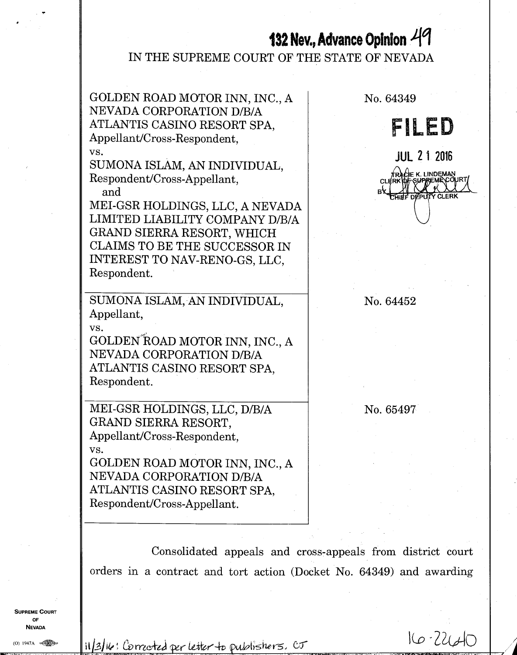# **132 Nev., Advance Opinion 41**

IN THE SUPREME COURT OF THE STATE OF NEVADA



Consolidated appeals and cross-appeals from district court orders in a contract and tort action (Docket No. 64349) and awarding

**SUPREME COURT** OF **NEVADA** 

 $(0)$  1947A

 $11/3$ k: Corrected per letter to publishers.  $cr$   $16$   $22/40$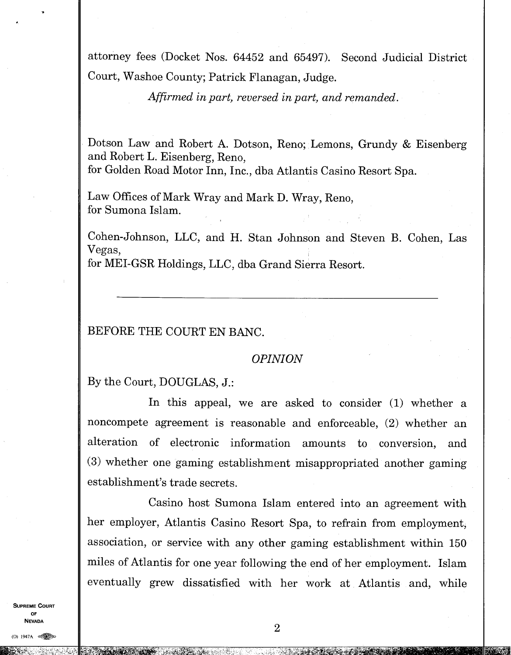attorney fees (Docket Nos. 64452 and 65497). Second Judicial District Court, Washoe County; Patrick Flanagan, Judge.

*Affirmed in part, reversed in part, and remanded.* 

Dotson Law and Robert A. Dotson, Reno; Lemons, Grundy & Eisenberg and Robert L. Eisenberg, Reno, for Golden Road Motor Inn, Inc., dba Atlantis Casino Resort Spa.

Law Offices of Mark Wray and Mark D. Wray, Reno, for Sumona Islam.

Cohen-Johnson, LLC, and H. Stan Johnson and Steven B. Cohen, Las Vegas, for MEI-GSR Holdings, LLC, dba Grand Sierra Resort.

BEFORE THE COURT EN BANC.

#### *OPINION*

By the Court, DOUGLAS, J.:

In this appeal, we are asked to consider (1) whether a noncompete agreement is reasonable and enforceable, (2) whether an alteration of electronic information amounts to conversion, and (3) whether one gaming establishment misappropriated another gaming establishment's trade secrets.

Casino host Sumona Islam entered into an agreement with her employer, Atlantis Casino Resort Spa, to refrain from employment, association, or service with any other gaming establishment within 150 miles of Atlantis for one year following the end of her employment. Islam eventually grew dissatisfied with her work at Atlantis and, while

**SUPREME COURT OF NEVADA** 

 $(0)$  1947A  $\infty$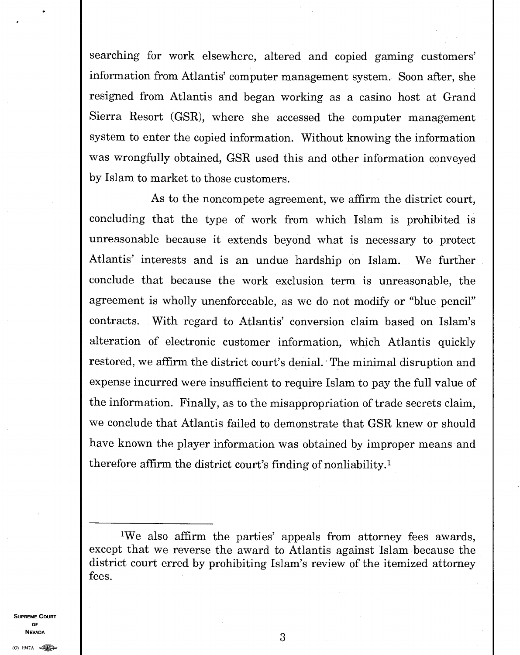searching for work elsewhere, altered and copied gaming customers' information from Atlantis' computer management system. Soon after, she resigned from Atlantis and began working as a casino host at Grand Sierra Resort (GSR), where she accessed the computer management system to enter the copied information. Without knowing the information was wrongfully obtained, GSR used this and other information conveyed by Islam to market to those customers.

As to the noncompete agreement, we affirm the district court, concluding that the type of work from which Islam is prohibited is unreasonable because it extends beyond what is necessary to protect Atlantis' interests and is an undue hardship on Islam. We further conclude that because the work exclusion term is unreasonable, the agreement is wholly unenforceable, as we do not modify or "blue pencil" contracts. With regard to Atlantis' conversion claim based on Islam's alteration of electronic customer information, which Atlantis quickly restored, we affirm the district court's denial. The minimal disruption and expense incurred were insufficient to require Islam to pay the full value of the information. Finally, as to the misappropriation of trade secrets claim, we conclude that Atlantis failed to demonstrate that GSR knew or should have known the player information was obtained by improper means and therefore affirm the district court's finding of nonliability.<sup>1</sup>

**SUPREME COURT OF NEVADA** 3

<sup>&#</sup>x27;We also affirm the parties' appeals from attorney fees awards, except that we reverse the award to Atlantis against Islam because the district court erred by prohibiting Islam's review of the itemized attorney fees.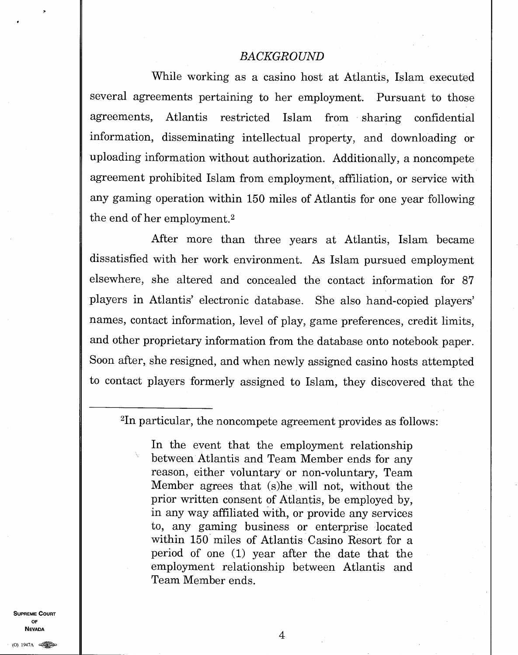#### *BACKGROUND*

While working as a casino host at Atlantis, Islam executed several agreements pertaining to her employment. Pursuant to those agreements, Atlantis restricted Islam from sharing confidential information, disseminating intellectual property, and downloading or uploading information without authorization. Additionally, a noncompete agreement prohibited Islam from employment, affiliation, or service with any gaming operation within 150 miles of Atlantis for one year following the end of her employment. <sup>2</sup>

After more than three years at Atlantis, Islam became dissatisfied with her work environment. As Islam pursued employment elsewhere, she altered and concealed the contact information for 87 players in Atlantis' electronic database. She also hand-copied players' names, contact information, level of play, game preferences, credit limits, and other proprietary information from the database onto notebook paper. Soon after, she resigned, and when newly assigned casino hosts attempted to contact players formerly assigned to Islam, they discovered that the

<sup>2</sup>In particular, the noncompete agreement provides as follows:

In the event that the employment relationship between Atlantis and Team Member ends for any reason, either voluntary or non-voluntary, Team Member agrees that (s)he will not, without the prior written consent of Atlantis, be employed by, in any way affiliated with, or provide any services to, any gaming business or enterprise located within 150 miles of Atlantis Casino Resort for a period of one (1) year after the date that the employment relationship between Atlantis and Team Member ends.

**SUPREME COURT OF NEVADA** 

(0) 1947A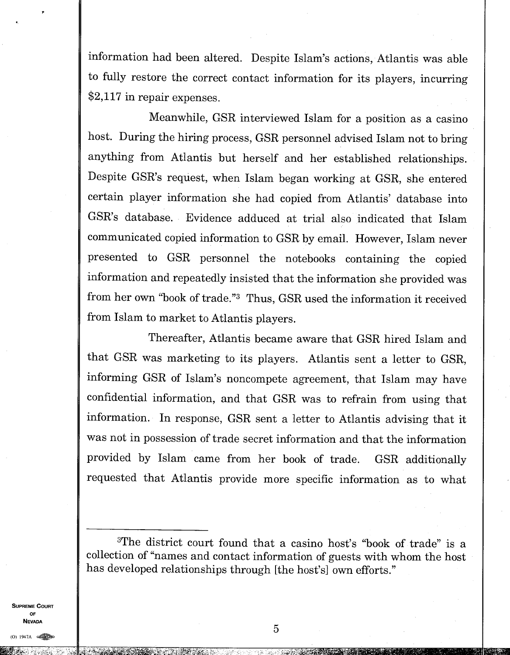information had been altered. Despite Islam's actions, Atlantis was able to fully restore the correct contact information for its players, incurring \$2,117 in repair expenses.

Meanwhile, GSR interviewed Islam for a position as a casino host. During the hiring process, GSR personnel advised Islam not to bring anything from Atlantis but herself and her established relationships. Despite GSR's request, when Islam began working at GSR, she entered certain player information she had copied from Atlantis' database into GSR's database. Evidence adduced at trial also indicated that Islam communicated copied information to GSR by email. However, Islam never presented to GSR personnel the notebooks containing the copied information and repeatedly insisted that the information she provided was from her own "book of trade." 3Thus, GSR used the information it received from Islam to market to Atlantis players.

Thereafter, Atlantis became aware that GSR hired Islam and that GSR was marketing to its players. Atlantis sent a letter to GSR, informing GSR of Islam's noncompete agreement, that Islam may have confidential information, and that GSR was to refrain from using that information. In response, GSR sent a letter to Atlantis advising that it was not in possession of trade secret information and that the information provided by Islam came from her book of trade. GSR additionally requested that Atlantis provide more specific information as to what

**SUPREME COURT OF NEVADA** 

<sup>3</sup>The district court found that a casino host's "book of trade" is a collection of "names and contact information of guests with whom the host has developed relationships through [the host's] own efforts."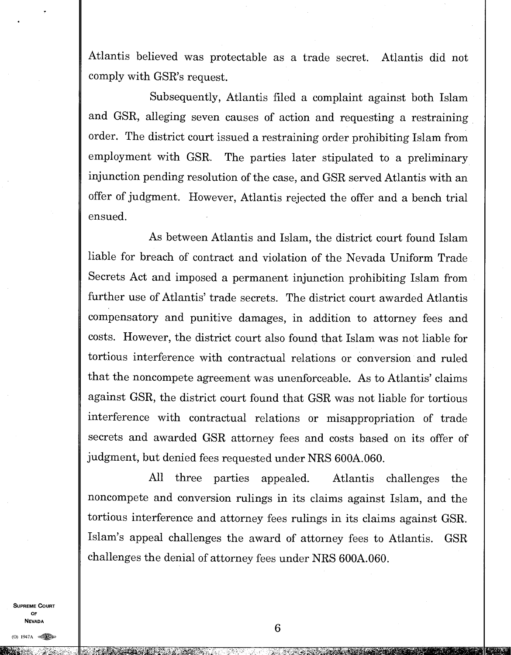Atlantis believed was protectable as a trade secret. Atlantis did not comply with GSR's request.

Subsequently, Atlantis filed a complaint against both Islam and GSR, alleging seven causes of action and requesting a restraining order. The district court issued a restraining order prohibiting Islam from employment with GSR. The parties later stipulated to a preliminary injunction pending resolution of the case, and GSR served Atlantis with an offer of judgment. However, Atlantis rejected the offer and a bench trial ensued.

As between Atlantis and Islam, the district court found Islam liable for breach of contract and violation of the Nevada Uniform Trade Secrets Act and imposed a permanent injunction prohibiting Islam from further use of Atlantis' trade secrets. The district court awarded Atlantis compensatory and punitive damages, in addition to attorney fees and costs. However, the district court also found that Islam was not liable for tortious interference with contractual relations or conversion and ruled that the noncompete agreement was unenforceable. As to Atlantis' claims against GSR, the district court found that GSR was not liable for tortious interference with contractual relations or misappropriation of trade secrets and awarded GSR attorney fees and costs based on its offer of judgment, but denied fees requested under NRS 600A.060.

All three parties appealed. Atlantis challenges the noncompete and conversion rulings in its claims against Islam, and the tortious interference and attorney fees rulings in its claims against GSR. Islam's appeal challenges the award of attorney fees to Atlantis. GSR challenges the denial of attorney fees under NRS 600A.060.

**SUPREME COURT OF NEVADA**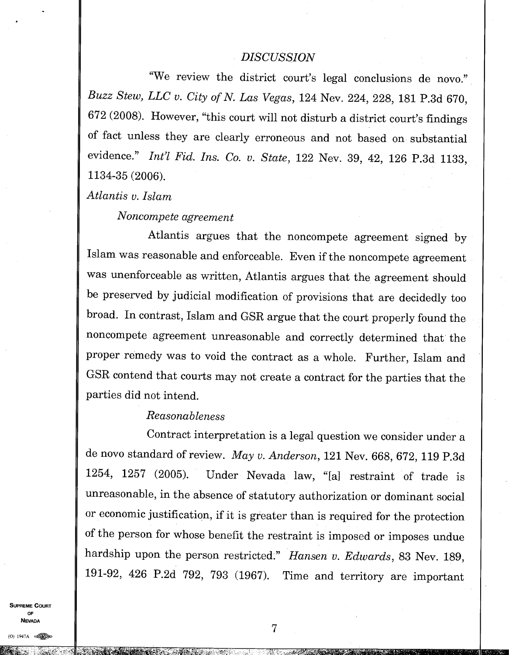#### *DISCUSSION*

"We review the district court's legal conclusions de novo." *Buzz Stew, LLC v. City of N. Las Vegas,* 124 Nev. 224, 228, 181 P.3d 670, 672 (2008). However, "this court will not disturb a district court's findings of fact unless they are clearly erroneous and not based on substantial evidence." *Int'l Fid. Ins. Co. v. State, 122 Nev. 39, 42, 126 P.3d 1133,* 1134-35 (2006).

*Atlantis v. Islam* 

*Noncompete agreement* 

Atlantis argues that the noncompete agreement signed by Islam was reasonable and enforceable. Even if the noncompete agreement was unenforceable as written, Atlantis argues that the agreement should be preserved by judicial modification of provisions that are decidedly too broad. In contrast, Islam and GSR argue that the court properly found the noncompete agreement unreasonable and correctly determined that the proper remedy was to void the contract as a whole. Further, Islam and GSR contend that courts may not create a contract for the parties that the parties did not intend.

#### *Reasonableness*

Contract interpretation is a legal question we consider under a de novo standard of review. *May v. Anderson,* 121 Nev. 668, 672, 119 P.3d 1254, 1257 (2005). Under Nevada law, "[a] restraint of trade is unreasonable, in the absence of statutory authorization or dominant social or economic justification, if it is greater than is required for the protection of the person for whose benefit the restraint is imposed or imposes undue hardship upon the person restricted." *Hansen v. Edwards,* 83 Nev. 189, 191-92, 426 P.2d 792, 793 (1967). Time and territory are important

**SUPREME COURT OF NEVADA**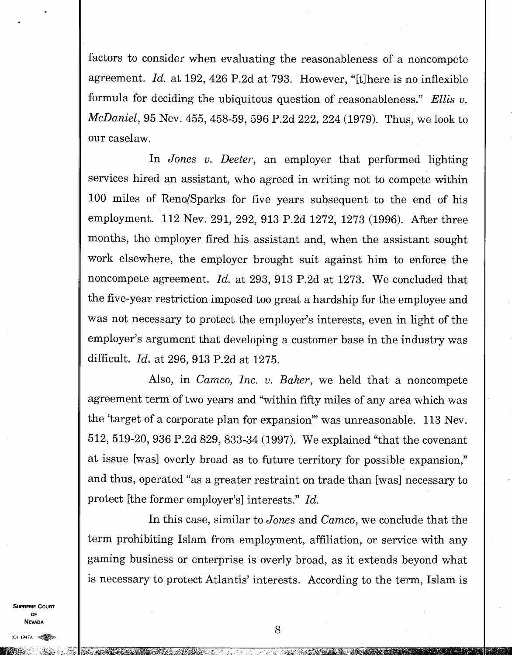factors to consider when evaluating the reasonableness of a noncompete agreement. *Id.* at 192, 426 P.2d at 793. However, "[t]here is no inflexible formula for deciding the ubiquitous question of reasonableness." *Ellis v. McDaniel,* 95 Nev. 455, 458-59, 596 P.2d 222, 224 (1979). Thus, we look to our caselaw.

In *Jones v. Deeter,* an employer that performed lighting services hired an assistant, who agreed in writing not to compete within 100 miles of Reno/Sparks for five years subsequent to the end of his employment. 112 Nev. 291, 292, 913 P.2d 1272, 1273 (1996). After three months, the employer fired his assistant and, when the assistant sought work elsewhere, the employer brought suit against him to enforce the noncompete agreement. *Id.* at 293, 913 P.2d at 1273. We concluded that the five-year restriction imposed too great a hardship for the employee and was not necessary to protect the employer's interests, even in light of the employer's argument that developing a customer base in the industry was difficult. *Id.* at 296, 913 P.2d at 1275.

Also, in *Camco, Inc. v. Baker,* we held that a noncompete agreement term of two years and "within fifty miles of any area which was the 'target of a corporate plan for expansion" was unreasonable. 113 Nev. 512, 519-20, 936 P.2d 829, 833-34 (1997). We explained "that the covenant at issue [was] overly broad as to future territory for possible expansion," and thus, operated "as a greater restraint on trade than [was] necessary to protect [the former employer's] interests." *Id.* 

In this case, similar to *Jones* and *Camco,* we conclude that the term prohibiting Islam from employment, affiliation, or service with any gaming business or enterprise is overly broad, as it extends beyond what is necessary to protect Atlantis' interests. According to the term, Islam is

SHODEME COHOT OF. **NEVADA**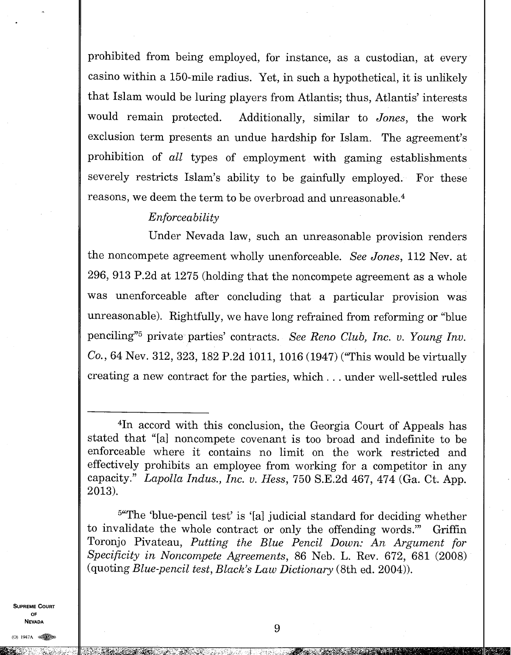prohibited from being employed, for instance, as a custodian, at every casino within a 150-mile radius. Yet, in such a hypothetical, it is unlikely that Islam would be luring players from Atlantis; thus, Atlantis' interests would remain protected. Additionally, similar to *Jones,* the work exclusion term presents an undue hardship for Islam. The agreement's prohibition of *all* types of employment with gaming establishments severely restricts Islam's ability to be gainfully employed. For these reasons, we deem the term to be overbroad and unreasonable. 4

## *Enforceability*

Under Nevada law, such an unreasonable provision renders the noncompete agreement wholly unenforceable. *See Jones,* 112 Nev. at 296, 913 P.2d at 1275 (holding that the noncompete agreement as a whole was unenforceable after concluding that a particular provision was unreasonable). Rightfully, we have long refrained from reforming or "blue penciling"<sup>5</sup> private parties' contracts. *See Reno Club, Inc. v. Young Inv. Co.,* 64 Nev. 312, 323, 182 P.2d 1011, 1016 (1947) ("This would be virtually creating a new contract for the parties, which. . . under well-settled rules

 $5$ "The 'blue-pencil test' is '[a] judicial standard for deciding whether to invalidate the whole contract or only the offending words." Griffin Toronjo Pivateau, *Putting the Blue Pencil Down: An Argument for Specificity in Noncompete Agreements,* 86 Neb. L. Rev. 672, 681 (2008) (quoting *Blue-pencil test, Black's Law Dictionary* (8th ed. 2004)).

**SUPREME COUPT OF NEVADA** 

(0) 1947A

<sup>4</sup>In accord with this conclusion, the Georgia Court of Appeals has stated that "[a] noncompete covenant is too broad and indefinite to be enforceable where it contains no limit on the work restricted and effectively prohibits an employee from working for a competitor in any capacity." *Lapolla Indus., Inc. v. Hess,* 750 S.E.2d 467, 474 (Ga. Ct. App. 2013).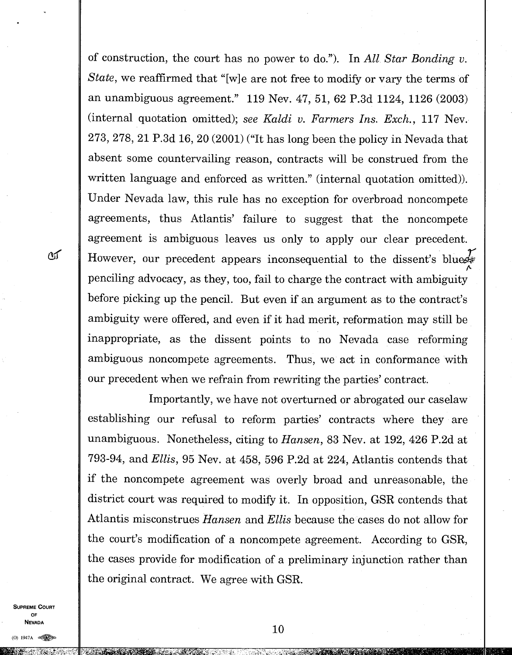of construction, the court has no power to do."). In *All Star Bonding v. State,* we reaffirmed that "[w]e are not free to modify or vary the terms of an unambiguous agreement." 119 Nev. 47, 51, 62 P.3d 1124, 1126 (2003) (internal quotation omitted); *see Kaldi v. Farmers Ins. Exch.,* 117 Nev. 273, 278, 21 P.3d 16, 20 (2001) ("It has long been the policy in Nevada that absent some countervailing reason, contracts will be construed from the written language and enforced as written." (internal quotation omitted)). Under Nevada law, this rule has no exception for overbroad noncompete agreements, thus Atlantis' failure to suggest that the noncompete agreement is ambiguous leaves us only to apply our clear precedent. However, our precedent appears inconsequential to the dissent's bluez penciling advocacy, as they, too, fail to charge the contract with ambiguity before picking up the pencil. But even if an argument as to the contract's ambiguity were offered, and even if it had merit, reformation may still be inappropriate, as the dissent points to no Nevada case reforming ambiguous noncompete agreements. Thus, we act in conformance with our precedent when we refrain from rewriting the parties' contract.

Importantly, we have not overturned or abrogated our caselaw establishing our refusal to reform parties' contracts where they are unambiguous. Nonetheless, citing to *Hansen,* 83 Nev. at 192, 426 P.2d at 793-94, and *Ellis,* 95 Nev. at 458, 596 P.2d at 224, Atlantis contends that if the noncompete agreement was overly broad and unreasonable, the district court was required to modify it. In opposition, GSR contends that Atlantis misconstrues *Hansen* and *Ellis* because the cases do not allow for the court's modification of a noncompete agreement. According to GSR, the cases provide for modification of a preliminary injunction rather than the original contract. We agree with GSR.

**SUPREME COURT OF NEVADA** 

 $\alpha$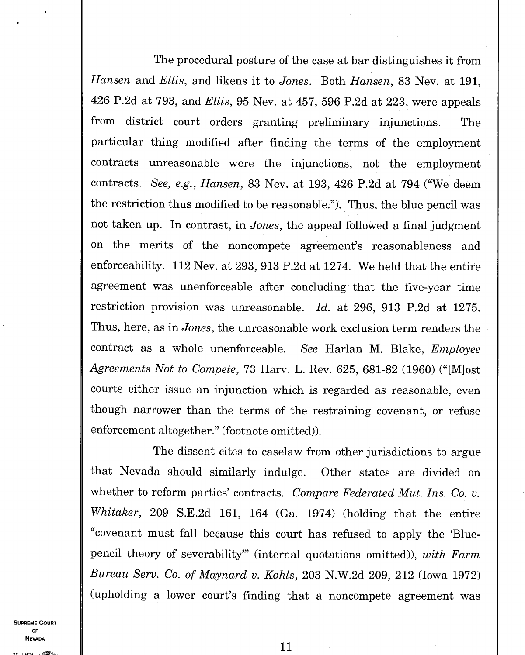The procedural posture of the case at bar distinguishes it from *Hansen* and *Ellis,* and likens it to *Jones.* Both *Hansen,* 83 Nev. at 191, 426 P.2d at 793, and *Ellis,* 95 Nev. at 457, 596 P.2d at 223, were appeals from district court orders granting preliminary injunctions. The particular thing modified after finding the terms of the employment contracts unreasonable were the injunctions, not the employment contracts. *See, e.g., Hansen,* 83 Nev. at 193, 426 P.2d at 794 ("We deem the restriction thus modified to be reasonable."). Thus, the blue pencil was not taken up. In contrast, in *Jones,* the appeal followed a final judgment on the merits of the noncompete agreement's reasonableness and enforceability. 112 Nev. at 293, 913 P.2d at 1274. We held that the entire agreement was unenforceable after concluding that the five-year time restriction provision was unreasonable. *Id.* at 296, 913 P.2d at 1275. Thus, here, as in *Jones,* the unreasonable work exclusion term renders the contract as a whole unenforceable. *See* Harlan M. Blake, *Employee Agreements Not to Compete,* 73 Harv. L. Rev. 625, 681-82 (1960) ("[M]ost courts either issue an injunction which is regarded as reasonable, even though narrower than the terms of the restraining covenant, or refuse enforcement altogether." (footnote omitted)).

The dissent cites to caselaw from other jurisdictions to argue that Nevada should similarly indulge. Other states are divided on whether to reform parties' contracts. *Compare Federated Mut. Ins. Co. v. Whitaker,* 209 S.E.2d 161, 164 (Ga. 1974) (holding that the entire "covenant must fall because this court has refused to apply the 'Bluepencil theory of severability" (internal quotations omitted)), *with Farm Bureau Serv. Co. of Maynard v. Kohls,* 203 N.W.2d 209, 212 (Iowa 1972) (upholding a lower court's finding that a noncompete agreement was

**SUPREME COURT** OF **NEVADA**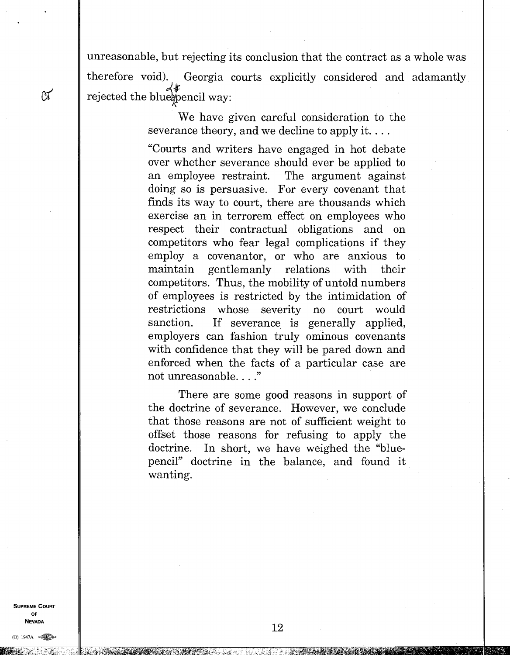unreasonable, but rejecting its conclusion that the contract as a whole was therefore void). Georgia courts explicitly considered and adamantly  $\mathfrak{A}$  rejected the blue pencil way:

> We have given careful consideration to the severance theory, and we decline to apply it....

"Courts and writers have engaged in hot debate over whether severance should ever be applied to an employee restraint. The argument against doing so is persuasive. For every covenant that finds its way to court, there are thousands which exercise an in terrorem effect on employees who respect their contractual obligations and on competitors who fear legal complications if they employ a covenantor, or who are anxious to maintain gentlemanly relations with their competitors. Thus, the mobility of untold numbers of employees is restricted by the intimidation of restrictions whose severity no court would sanction. If severance is generally applied, employers can fashion truly ominous covenants with confidence that they will be pared down and enforced when the facts of a particular case are not unreasonable. . . ."

There are some good reasons in support of the doctrine of severance. However, we conclude that those reasons are not of sufficient weight to offset those reasons for refusing to apply the doctrine. In short, we have weighed the "bluepencil" doctrine in the balance, and found it wanting.

**SUPREME COURT OF NEVADA** 

(0) 1947A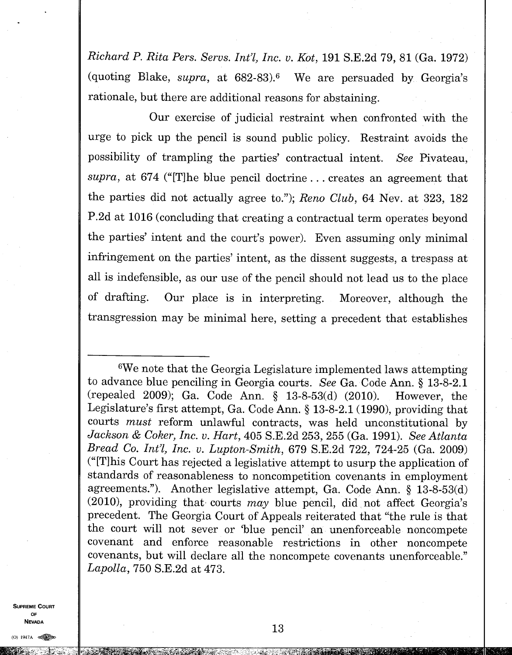*Richard P. Rita Pers. Servs. Int'l, Inc. v. Kot,* 191 S.E.2d 79, 81 (Ga. 1972) (quoting Blake, *supra*, at 682-83).<sup>6</sup> We are persuaded by Georgia's rationale, but there are additional reasons for abstaining.

Our exercise of judicial restraint when confronted with the urge to pick up the pencil is sound public policy. Restraint avoids the possibility of trampling the parties' contractual intent. *See* Pivateau, *supra,* at 674 ("[T]he blue pencil doctrine . . . creates an agreement that the parties did not actually agree to."); *Reno Club,* 64 Nev. at 323, 182 P.2d at 1016 (concluding that creating a contractual term operates beyond the parties' intent and the court's power). Even assuming only minimal infringement on the parties' intent, as the dissent suggests, a trespass at all is indefensible, as our use of the pencil should not lead us to the place of drafting. Our place is in interpreting. Moreover, although the transgression may be minimal here, setting a precedent that establishes

<sup>6</sup>We note that the Georgia Legislature implemented laws attempting to advance blue penciling in Georgia courts. *See* Ga. Code Ann. § 13-8-2.1 (repealed 2009); Ga. Code Ann. § 13-8-53(d) (2010). However, the Legislature's first attempt, Ga. Code Ann. § 13-8-2.1 (1990), providing that courts *must* reform unlawful contracts, was held unconstitutional by *Jackson & Coker, Inc. v. Hart,* 405 S.E.2d 253, 255 (Ga. 1991). *See Atlanta Bread Co. Int'l, Inc. v. Lupton-Smith, 679 S.E.2d 722, 724-25 (Ga. 2009)* ("[T]his Court has rejected a legislative attempt to usurp the application of standards of reasonableness to noncompetition covenants in employment agreements."). Another legislative attempt, Ga. Code Ann. § 13-8-53(d)  $(2010)$ , providing that courts may blue pencil, did not affect Georgia's precedent. The Georgia Court of Appeals reiterated that "the rule is that the court will not sever or 'blue pencil' an unenforceable noncompete covenant and enforce reasonable restrictions in other noncompete covenants, but will declare all the noncompete covenants unenforceable." *Lapolla,* 750 S.E.2d at 473.

**SUPREME COURT** OF **NEVADA** 

 $O)$  1947A  $\approx$ 

tafam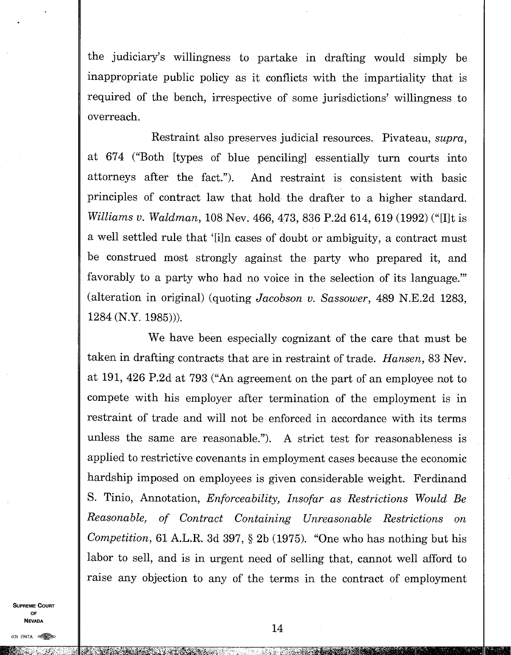the judiciary's willingness to partake in drafting would simply be inappropriate public policy as it conflicts with the impartiality that is required of the bench, irrespective of some jurisdictions' willingness to overreach.

Restraint also preserves judicial resources. Pivateau, *supra,*  at 674 ("Both [types of blue penciling] essentially turn courts into attorneys after the fact."). And restraint is consistent with basic principles of contract law that hold the drafter to a higher standard. *Williams v. Waldman, 108 Nev. 466, 473, 836 P.2d 614, 619 (1992)* ("Ilt is a well settled rule that '[i]n cases of doubt or ambiguity, a contract must be construed most strongly against the party who prepared it, and favorably to a party who had no voice in the selection of its language.' (alteration in original) (quoting *Jacobson v. Sassower,* 489 N.E.2d 1283, 1284 (N.Y. 1985))).

We have been especially cognizant of the care that must be taken in drafting contracts that are in restraint of trade. *Hansen,* 83 Nev. at 191, 426 P.2d at 793 ("An agreement on the part of an employee not to compete with his employer after termination of the employment is in restraint of trade and will not be enforced in accordance with its terms unless the same are reasonable."). A strict test for reasonableness is applied to restrictive covenants in employment cases because the economic hardship imposed on employees is given considerable weight. Ferdinand S. Tinio, Annotation, *Enforceability, Insofar as Restrictions Would Be Reasonable, of Contract Containing Unreasonable Restrictions on Competition,* 61 A.L.R. 3d 397, § 2b (1975). "One who has nothing but his labor to sell, and is in urgent need of selling that, cannot well afford to raise any objection to any of the terms in the contract of employment

**SUPREME COURT** OF **NEVADA**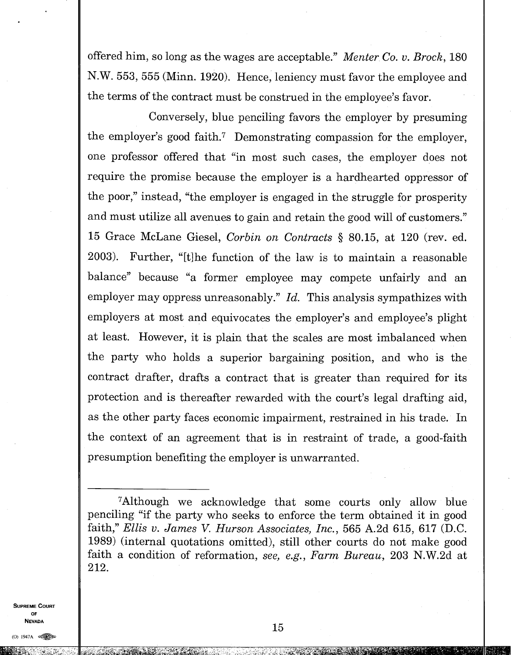offered him, so long as the wages are acceptable." *Menter Co. v. Brock,* 180 N.W. 553, 555 (Minn. 1920). Hence, leniency must favor the employee and the terms of the contract must be construed in the employee's favor.

Conversely, blue penciling favors the employer by presuming the employer's good faith.<sup>7</sup> Demonstrating compassion for the employer, one professor offered that "in most such cases, the employer does not require the promise because the employer is a hardhearted oppressor of the poor," instead, "the employer is engaged in the struggle for prosperity and must utilize all avenues to gain and retain the good will of customers." 15 Grace McLane Giesel, *Corbin on Contracts §* 80.15, at 120 (rev. ed. 2003). Further, "[t]he function of the law is to maintain a reasonable balance" because "a former employee may compete unfairly and an employer may oppress unreasonably." *Id.* This analysis sympathizes with employers at most and equivocates the employer's and employee's plight at least. However, it is plain that the scales are most imbalanced when the party who holds a superior bargaining position, and who is the contract drafter, drafts a contract that is greater than required for its protection and is thereafter rewarded with the court's legal drafting aid, as the other party faces economic impairment, restrained in his trade. In the context of an agreement that is in restraint of trade, a good-faith presumption benefiting the employer is unwarranted.

**SUPREME COURT OF NEVADA** 

<sup>&</sup>lt;sup>7</sup>Although we acknowledge that some courts only allow blue penciling "if the party who seeks to enforce the term obtained it in good faith," *Ellis v. James V. Hurson Associates, Inc.,* 565 A.2d 615, 617 (D.C. 1989) (internal quotations omitted), still other courts do not make good faith a condition of reformation, *see, e.g., Farm Bureau,* 203 N.W.2d at 212.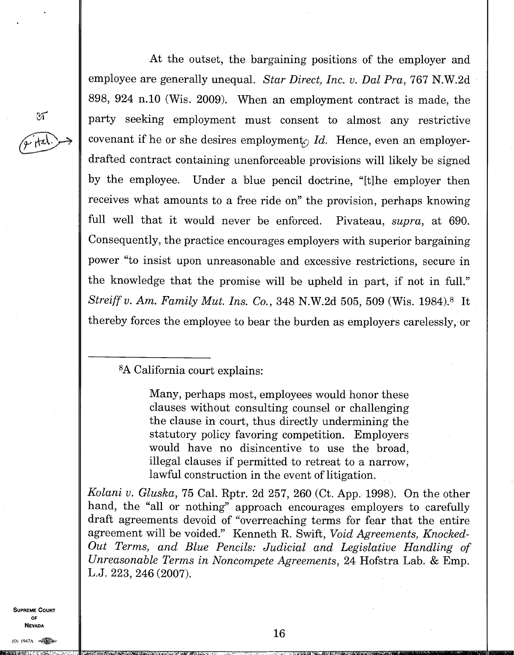At the outset, the bargaining positions of the employer and employee are generally unequal. *Star Direct, Inc. v. Dal Pra,* 767 N.W.2d 898, 924 n.10 (Wis. 2009). When an employment contract is made, the party seeking employment must consent to almost any restrictive covenant if he or she desires employment<sub> $\Omega$ </sub> *Id.* Hence, even an employerdrafted contract containing unenforceable provisions will likely be signed by the employee. Under a blue pencil doctrine, "[t] he employer then receives what amounts to a free ride on" the provision, perhaps knowing full well that it would never be enforced. Pivateau, *supra,* at 690. Consequently, the practice encourages employers with superior bargaining power "to insist upon unreasonable and excessive restrictions, secure in the knowledge that the promise will be upheld in part, if not in full." *Streiff v. Am. Family Mut. Ins. Co.*, 348 N.W.2d 505, 509 (Wis. 1984).<sup>8</sup> It thereby forces the employee to bear the burden as employers carelessly, or

<sup>8</sup>A California court explains:

Many, perhaps most, employees would honor these clauses without consulting counsel or challenging the clause in court, thus directly undermining the statutory policy favoring competition. Employers would have no disincentive to use the broad, illegal clauses if permitted to retreat to a narrow, lawful construction in the event of litigation.

*Kolani v. Gluska,* 75 Cal. Rptr. 2d 257, 260 (Ct. App. 1998). On the other hand, the "all or nothing" approach encourages employers to carefully draft agreements devoid of "overreaching terms for fear that the entire agreement will be voided." Kenneth R. Swift, *Void Agreements, Knocked-Out Terms, and Blue Pencils: Judicial and Legislative Handling of Unreasonable Terms in Noncompete Agreements,* 24 Hofstra Lab. & Emp. L.J. 223, 246 (2007).

**SUPREME COURT OF NEVADA** 

 $\mathfrak{A}$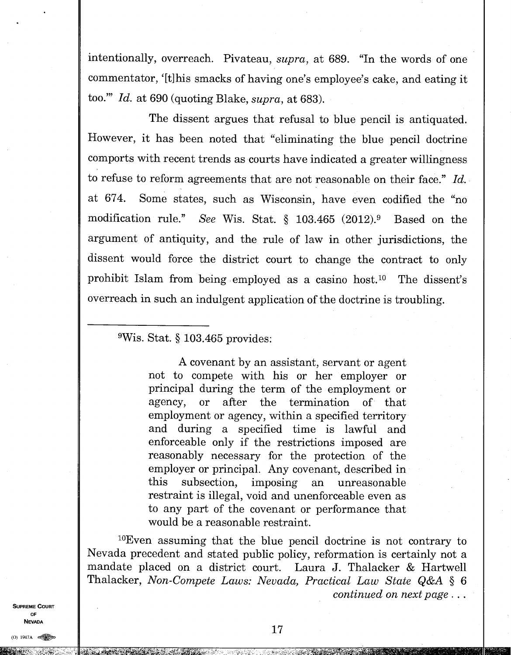intentionally, overreach. Pivateau, *supra,* at 689. "In the words of one commentator, '[t] his smacks of having one's employee's cake, and eating it too." *Id.* at 690 (quoting Blake, *supra,* at 683).

The dissent argues that refusal to blue pencil is antiquated. However, it has been noted that "eliminating the blue pencil doctrine comports with recent trends as courts have indicated a greater willingness to refuse to reform agreements that are not reasonable on their face." *Id.*  at 674. Some states, such as Wisconsin, have even codified the "no modification rule." *See* Wis. Stat. § 103.465 (2012).<sup>9</sup> Based on the argument of antiquity, and the rule of law in other jurisdictions, the dissent would force the district court to change the contract to only prohibit Islam from being employed as a casino host.<sup>10</sup> The dissent's overreach in such an indulgent application of the doctrine is troubling.

## <sup>9</sup>Wis. Stat. § 103.465 provides:

A covenant by an assistant, servant or agent not to compete with his or her employer or principal during the term of the employment or agency, or after the termination of that employment or agency, within a specified territory and during a specified time is lawful and enforceable only if the restrictions imposed are reasonably necessary for the protection of the employer or principal. Any covenant, described in this subsection, imposing an unreasonable restraint is illegal, void and unenforceable even as to any part of the covenant or performance that would be a reasonable restraint.

 $10$ Even assuming that the blue pencil doctrine is not contrary to Nevada precedent and stated public policy, reformation is certainly not a mandate placed on a district court. Laura *J.* Thalacker & Hartwell Thalacker, *Non-Compete Laws: Nevada, Practical Law State Q&A §* 6 *continued on next page . . .* 

**SUPPEME COUPT** OF **NEVADA** 

ີກ 1947A on

 $M_{24}$  .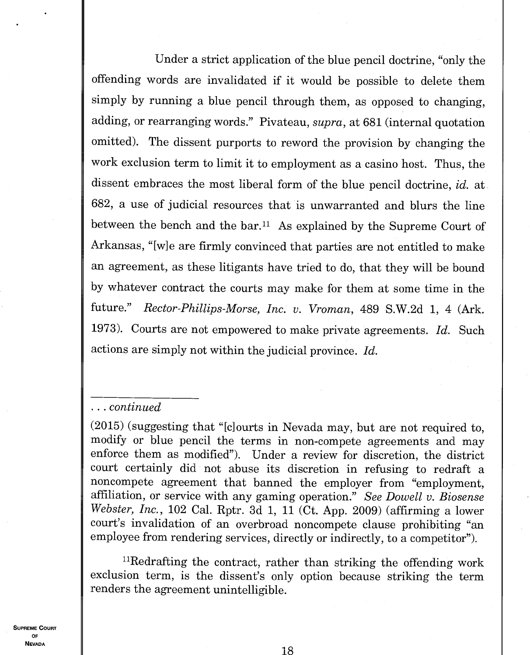Under a strict application of the blue pencil doctrine, "only the offending words are invalidated if it would be possible to delete them simply by running a blue pencil through them, as opposed to changing, adding, or rearranging words." Pivateau, *supra,* at 681 (internal quotation omitted). The dissent purports to reword the provision by changing the work exclusion term to limit it to employment as a casino host. Thus, the dissent embraces the most liberal form of the blue pencil doctrine, *id.* at 682, a use of judicial resources that is unwarranted and blurs the line between the bench and the bar.<sup>11</sup> As explained by the Supreme Court of Arkansas, "[w]e are firmly convinced that parties are not entitled to make an agreement, as these litigants have tried to do, that they will be bound by whatever contract the courts may make for them at some time in the future." *Rector-Phillips-Morse, Inc. v. Vroman,* 489 S.W.2d 1, 4 (Ark. 1973). Courts are not empowered to make private agreements. *Id.* Such actions are simply not within the judicial province. *Id.* 

## *. . . continued*

(2015) (suggesting that "[c]ourts in Nevada may, but are not required to, modify or blue pencil the terms in non-compete agreements and may enforce them as modified"). Under a review for discretion, the district court certainly did not abuse its discretion in refusing to redraft a noncompete agreement that banned the employer from "employment, affiliation, or service with any gaming operation." *See Dowell v. Biosense Webster, Inc.,* 102 Cal. Rptr. 3d 1, 11 (Ct. App. 2009) (affirming a lower court's invalidation of an overbroad noncompete clause prohibiting "an employee from rendering services, directly or indirectly, to a competitor").

 $<sup>11</sup>$ Redrafting the contract, rather than striking the offending work</sup> exclusion term, is the dissent's only option because striking the term renders the agreement unintelligible.

**SUPREME COURT** OF **NEVADA**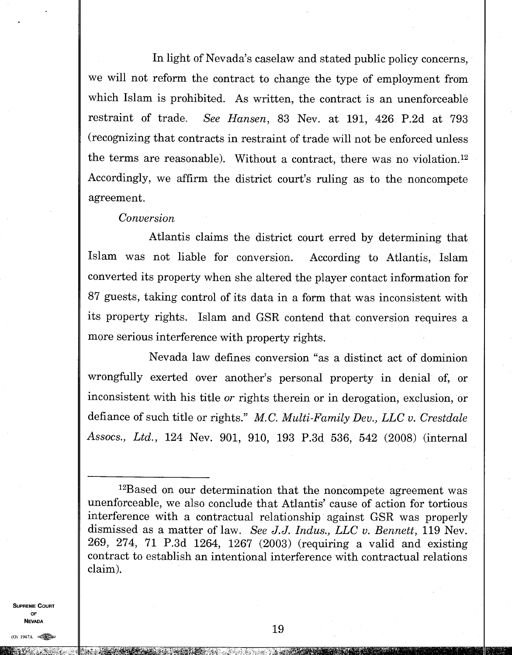In light of Nevada's caselaw and stated public policy concerns, we will not reform the contract to change the type of employment from which Islam is prohibited. As written, the contract is an unenforceable restraint of trade. *See Hansen,* 83 Nev. at 191, 426 P.2d at 793 (recognizing that contracts in restraint of trade will not be enforced unless the terms are reasonable). Without a contract, there was no violation. <sup>12</sup> Accordingly, we affirm the district court's ruling as to the noncompete agreement.

#### *Conversion*

Atlantis claims the district court erred by determining that Islam was not liable for conversion. According to Atlantis, Islam converted its property when she altered the player contact information for 87 guests, taking control of its data in a form that was inconsistent with its property rights. Islam and GSR contend that conversion requires a more serious interference with property rights.

Nevada law defines conversion "as a distinct act of dominion wrongfully exerted over another's personal property in denial of, or inconsistent with his title *or* rights therein or in derogation, exclusion, or defiance of such title or rights." *M. C. Multi-Family Dev., LLC v. Crestdale Assocs., Ltd.,* 124 Nev. 901, 910, 193 P.3d 536, 542 (2008) (internal

**SUPREME COURT OF NEVADA** 

<sup>12</sup>Based on our determination that the noncompete agreement was unenforceable, we also conclude that Atlantis' cause of action for tortious interference with a contractual relationship against GSR was properly dismissed as a matter of law. *See J.J. Indus., LLC v. Bennett,* 119 Nev. 269, 274, 71 P.3d 1264, 1267 (2003) (requiring a valid and existing contract to establish an intentional interference with contractual relations claim).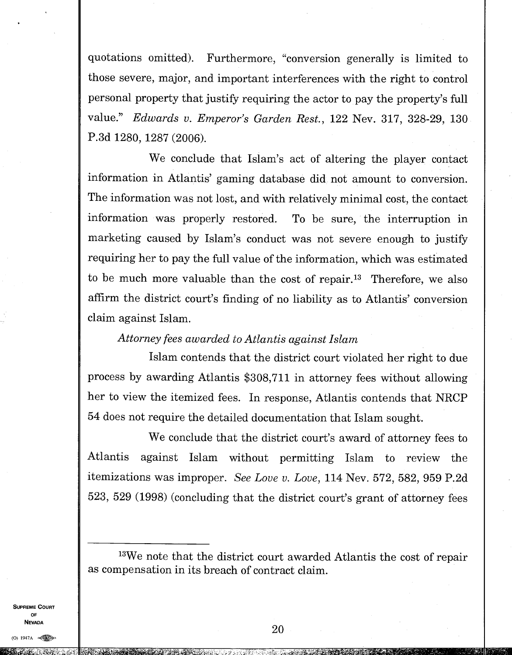quotations omitted). Furthermore, "conversion generally is limited to those severe, major, and important interferences with the right to control personal property that justify requiring the actor to pay the property's full value." *Edwards v. Emperor's Garden Rest.,* 122 Nev. 317, 328-29, 130 P.3d 1280, 1287 (2006).

We conclude that Islam's act of altering the player contact information in Atlantis' gaming database did not amount to conversion. The information was not lost, and with relatively minimal cost, the contact information was properly restored. To be sure, the interruption in marketing caused by Islam's conduct was not severe enough to justify requiring her to pay the full value of the information, which was estimated to be much more valuable than the cost of repair.<sup>13</sup> Therefore, we also affirm the district court's finding of no liability as to Atlantis' conversion claim against Islam.

### *Attorney fees awarded to Atlantis against Islam*

Islam contends that the district court violated her right to due process by awarding Atlantis \$308,711 in attorney fees without allowing her to view the itemized fees. In response, Atlantis contends that NRCP 54 does not require the detailed documentation that Islam sought.

We conclude that the district court's award of attorney fees to Atlantis against Islam without permitting Islam to review the itemizations was improper. *See Love v. Love,* 114 Nev. 572, 582, 959 P.2d 523, 529 (1998) (concluding that the district court's grant of attorney fees

**SUPREME COURT** 0F **NEVADA** 

<sup>13</sup>We note that the district court awarded Atlantis the cost of repair as compensation in its breach of contract claim.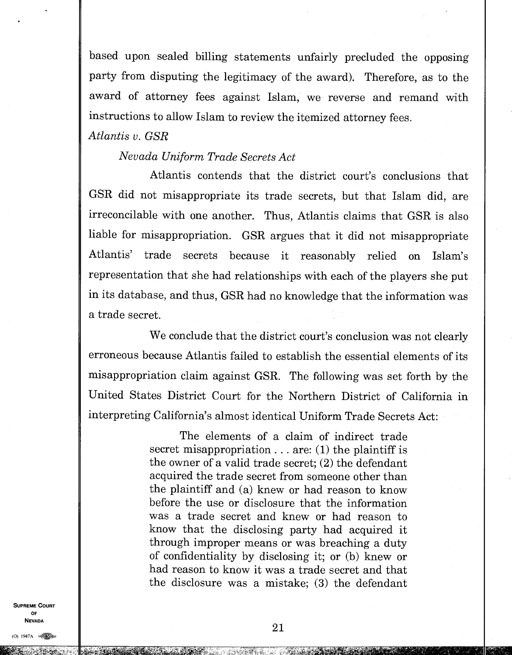based upon sealed billing statements unfairly precluded the opposing party from disputing the legitimacy of the award). Therefore, as to the award of attorney fees against Islam, we reverse and remand with instructions to allow Islam to review the itemized attorney fees.

*Atlantis v. GSR* 

## *Nevada Uniform Trade Secrets Act*

Atlantis contends that the district court's conclusions that GSR did not misappropriate its trade secrets, but that Islam did, are irreconcilable with one another. Thus, Atlantis claims that GSR is also liable for misappropriation. GSR argues that it did not misappropriate Atlantis' trade secrets because it reasonably relied on Islam's representation that she had relationships with each of the players she put in its database, and thus, GSR had no knowledge that the information was a trade secret.

We conclude that the district court's conclusion was not clearly erroneous because Atlantis failed to establish the essential elements of its misappropriation claim against GSR. The following was set forth by the United States District Court for the Northern District of California in interpreting California's almost identical Uniform Trade Secrets Act:

> The elements of a claim of indirect trade secret misappropriation... are:  $(1)$  the plaintiff is the owner of a valid trade secret; (2) the defendant acquired the trade secret from someone other than the plaintiff and (a) knew or had reason to know before the use or disclosure that the information was a trade secret and knew or had reason to know that the disclosing party had acquired it through improper means or was breaching a duty of confidentiality by disclosing it; or (b) knew or had reason to know it was a trade secret and that the disclosure was a mistake; (3) the defendant

**SUPREME COURT** OF **NEVADA**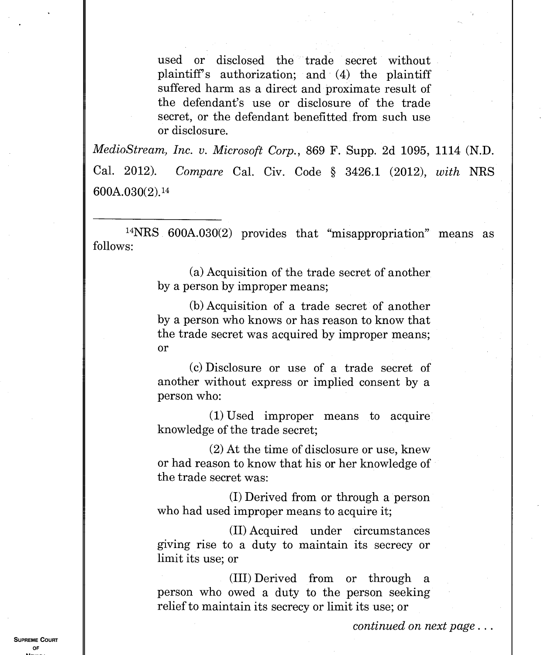used or disclosed the trade secret without plaintiff's authorization; and (4) the plaintiff suffered harm as a direct and proximate result of the defendant's use or disclosure of the trade secret, or the defendant benefitted from such use or disclosure.

*MedioStream, Inc. v. Microsoft Corp.*, 869 F. Supp. 2d 1095, 1114 (N.D. Cal. 2012). *Compare* Cal. Civ. Code § 3426.1 (2012), *with* NRS 600A.030(2). <sup>14</sup>

<sup>14</sup>NRS 600A.030(2) provides that "misappropriation" means as follows:

> (a) Acquisition of the trade secret of another by a person by improper means;

> (b) Acquisition of a trade secret of another by a person who knows or has reason to know that the trade secret was acquired by improper means; or

> (c) Disclosure or use of a trade secret of another without express or implied consent by a person who:

> (1) Used improper means to acquire knowledge of the trade secret;

> (2) At the time of disclosure or use, knew or had reason to know that his or her knowledge of the trade secret was:

(I) Derived from or through a person who had used improper means to acquire it;

(II) Acquired under circumstances giving rise to a duty to maintain its secrecy or limit its use; or

(III) Derived from or through a person who owed a duty to the person seeking relief to maintain its secrecy or limit its use; or

*continued on next page.* 

**SUPREME COURT** OF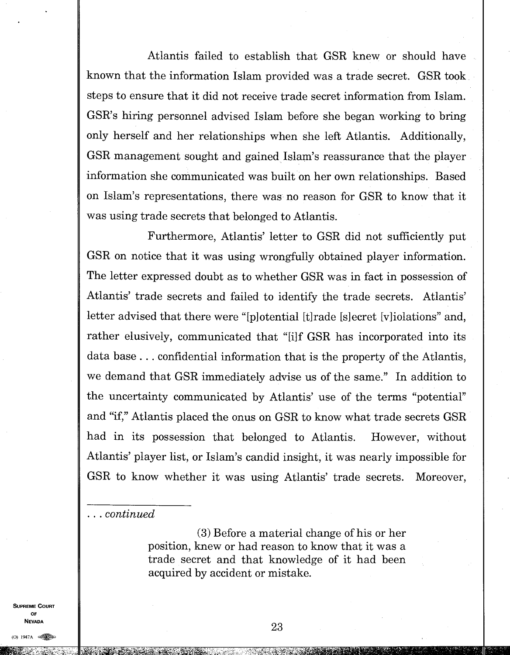Atlantis failed to establish that GSR knew or should have known that the information Islam provided was a trade secret. GSR took steps to ensure that it did not receive trade secret information from Islam. GSR's hiring personnel advised Islam before she began working to bring only herself and her relationships when she left Atlantis. Additionally, GSR management sought and gained Islam's reassurance that the player information she communicated was built on her own relationships. Based on Islam's representations, there was no reason for GSR to know that it was using trade secrets that belonged to Atlantis.

Furthermore, Atlantis' letter to GSR did not sufficiently put GSR on notice that it was using wrongfully obtained player information. The letter expressed doubt as to whether GSR was in fact in possession of Atlantis' trade secrets and failed to identify the trade secrets. Atlantis' letter advised that there were "[p] otential [t] rade [s] ecret [v] iolations" and, rather elusively, communicated that "[i]f GSR has incorporated into its data base. . . confidential information that is the property of the Atlantis, we demand that GSR immediately advise us of the same." In addition to the uncertainty communicated by Atlantis' use of the terms "potential" and "if," Atlantis placed the onus on GSR to know what trade secrets GSR had in its possession that belonged to Atlantis. However, without Atlantis' player list, or Islam's candid insight, it was nearly impossible for GSR to know whether it was using Atlantis' trade secrets. Moreover,

*. . . continued* 

(3) Before a material change of his or her position, knew or had reason to know that it was a trade secret and that knowledge of it had been acquired by accident or mistake.

**SUPREME COURT OF NEVADA**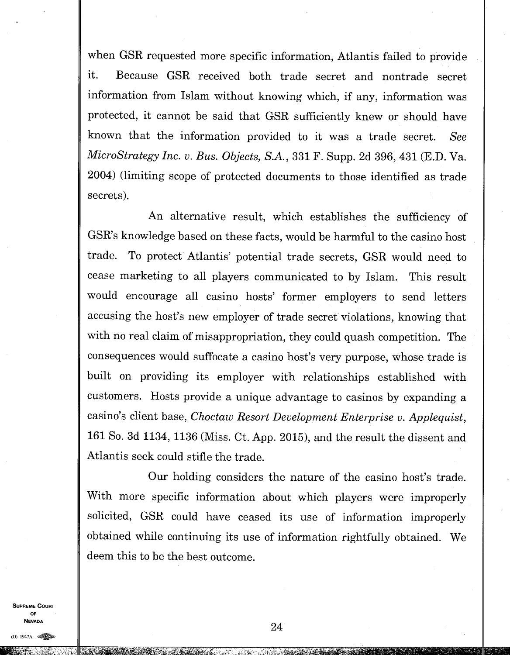when GSR requested more specific information, Atlantis failed to provide it. Because GSR received both trade secret and nontrade secret information from Islam without knowing which, if any, information was protected, it cannot be said that GSR sufficiently knew or should have known that the information provided to it was a trade secret. *See MicroStrategy Inc. v. Bus. Objects, S.A.,* 331 F. Supp. 2d 396, 431 (E.D. Va. 2004) (limiting scope of protected documents to those identified as trade secrets).

An alternative result, which establishes the sufficiency of GSR's knowledge based on these facts, would be harmful to the casino host trade. To protect Atlantis' potential trade secrets, GSR would need to cease marketing to all players communicated to by Islam. This result would encourage all casino hosts' former employers to send letters accusing the host's new employer of trade secret violations, knowing that with no real claim of misappropriation, they could quash competition. The consequences would suffocate a casino host's very purpose, whose trade is built on providing its employer with relationships established with customers. Hosts provide a unique advantage to casinos by expanding a casino's client base, *Choctaw Resort Development Enterprise v. Applequist*, 161 So. 3d 1134, 1136 (Miss. Ct. App. 2015), and the result the dissent and Atlantis seek could stifle the trade.

Our holding considers the nature of the casino host's trade. With more specific information about which players were improperly solicited, GSR could have ceased its use of information improperly obtained while continuing its use of information rightfully obtained. We deem this to be the best outcome.

**SUPREME COURT OF NEVADA** 

(0) 1947A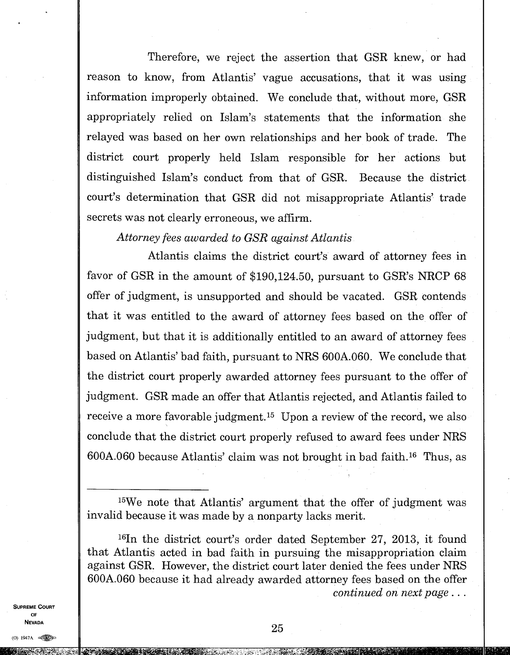Therefore, we reject the assertion that GSR knew, or had reason to know, from Atlantis' vague accusations, that it was using information improperly obtained. We conclude that, without more, GSR appropriately relied on Islam's statements that the information she relayed was based on her own relationships and her book of trade. The district court properly held Islam responsible for her actions but distinguished Islam's conduct from that of GSR. Because the district court's determination that GSR did not misappropriate Atlantis' trade secrets was not clearly erroneous, we affirm.

*Attorney fees awarded to GSR against Atlantis* 

Atlantis claims the district court's award of attorney fees in favor of GSR in the amount of \$190,124.50, pursuant to GSR's NRCP 68 offer of judgment, is unsupported and should be vacated. GSR contends that it was entitled to the award of attorney fees based on the offer of judgment, but that it is additionally entitled to an award of attorney fees based on Atlantis' bad faith, pursuant to NRS 600A.060. We conclude that the district court properly awarded attorney fees pursuant to the offer of judgment. GSR made an offer that Atlantis rejected, and Atlantis failed to receive a more favorable judgment.<sup>15</sup> Upon a review of the record, we also conclude that the district court properly refused to award fees under NRS  $600A.060$  because Atlantis' claim was not brought in bad faith.<sup>16</sup> Thus, as

<sup>16</sup>In the district court's order dated September 27, 2013, it found that Atlantis acted in bad faith in pursuing the misappropriation claim against GSR. However, the district court later denied the fees under NRS 600A.060 because it had already awarded attorney fees based on the offer *continued on next page . . .* 

**SUPREME COURT OF NEVADA** 

<sup>15</sup>We note that Atlantis' argument that the offer of judgment was invalid because it was made by a nonparty lacks merit.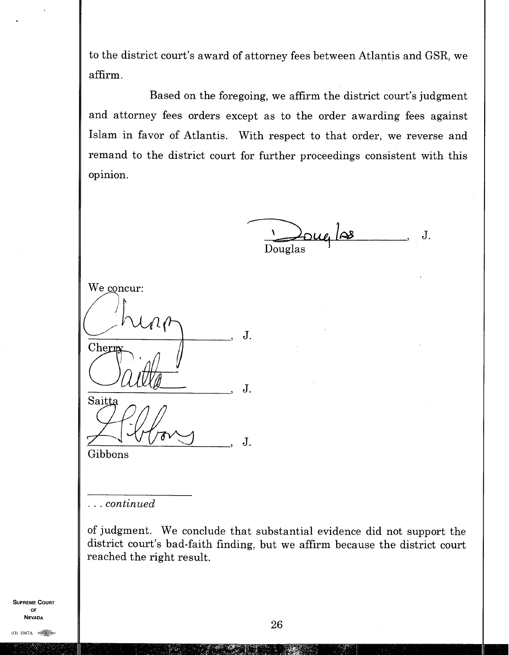to the district court's award of attorney fees between Atlantis and GSR, we affirm.

Based on the foregoing, we affirm the district court's judgment and attorney fees orders except as to the order awarding fees against Islam in favor of Atlantis. With respect to that order, we reverse and remand to the district court for further proceedings consistent with this opinion.

Douglas  $J<sub>1</sub>$ 

We concur: J. Cherm  $\mathbf{J}$ . Saitta  $J.$ Gibbons

*. . . continued* 

of judgment. We conclude that substantial evidence did not support the district court's bad-faith finding, but we affirm because the district court reached the right result.

SUPREME COURT OF **NEVADA**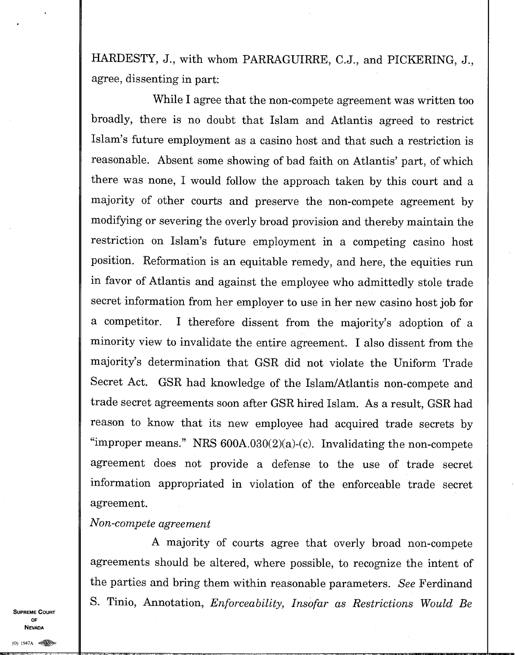HARDESTY, J., with whom PARRAGUIRRE, C.J., and PICKERING, J., agree, dissenting in part:

While I agree that the non-compete agreement was written too broadly, there is no doubt that Islam and Atlantis agreed to restrict Islam's future employment as a casino host and that such a restriction is reasonable. Absent some showing of bad faith on Atlantis' part, of which there was none, I would follow the approach taken by this court and a majority of other courts and preserve the non-compete agreement by modifying or severing the overly broad provision and thereby maintain the restriction on Islam's future employment in a competing casino host position. Reformation is an equitable remedy, and here, the equities run in favor of Atlantis and against the employee who admittedly stole trade secret information from her employer to use in her new casino host job for a competitor. I therefore dissent from the majority's adoption of a minority view to invalidate the entire agreement. I also dissent from the majority's determination that GSR did not violate the Uniform Trade Secret Act. GSR had knowledge of the Islam/Atlantis non-compete and trade secret agreements soon after GSR hired Islam. As a result, GSR had reason to know that its new employee had acquired trade secrets by "improper means." NRS  $600A.030(2)(a)-(c)$ . Invalidating the non-compete agreement does not provide a defense to the use of trade secret information appropriated in violation of the enforceable trade secret agreement.

*Non-compete agreement* 

A majority of courts agree that overly broad non-compete agreements should be altered, where possible, to recognize the intent of the parties and bring them within reasonable parameters. *See* Ferdinand S. Tinio, Annotation, *Enforceability, Insofar as Restrictions Would Be* 

 $\omega$  1947  $\sim$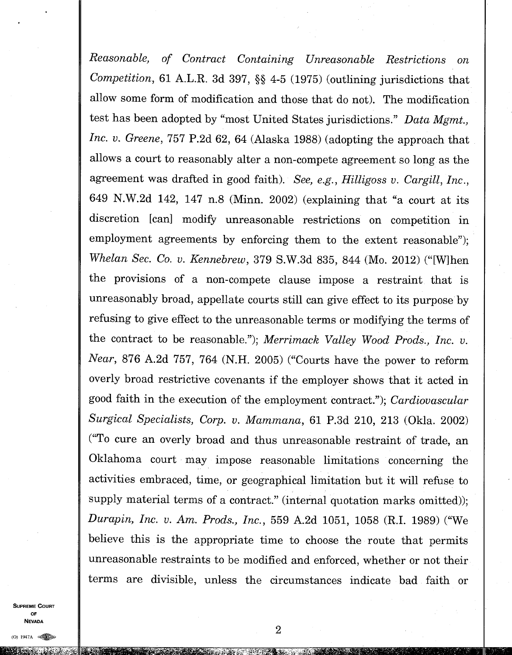*Reasonable, of Contract Containing Unreasonable Restrictions on Competition,* 61 A.L.R. 3d 397, §§ 4-5 (1975) (outlining jurisdictions that allow some form of modification and those that do not). The modification test has been adopted by "most United States jurisdictions." *Data Mgmt., Inc. v. Greene,* 757 P.2d 62, 64 (Alaska 1988) (adopting the approach that allows a court to reasonably alter a non-compete agreement so long as the agreement was drafted in good faith). *See, e.g., Hilligoss v. Cargill, Inc.,*  649 N.W.2d 142, 147 n.8 (Minn. 2002) (explaining that "a court at its discretion [can] modify unreasonable restrictions on competition in employment agreements by enforcing them to the extent reasonable"); *Whelan Sec. Co. v. Kennebrew,* 379 S.W.3d 835, 844 (Mo. 2012) ("[W]hen the provisions of a non-compete clause impose a restraint that is unreasonably broad, appellate courts still can give effect to its purpose by refusing to give effect to the unreasonable terms or modifying the terms of the contract to be reasonable."); *Merrimack Valley Wood Prods., Inc. v. Near,* 876 A.2d 757, 764 (N.H. 2005) ("Courts have the power to reform overly broad restrictive covenants if the employer shows that it acted in good faith in the execution of the employment contract"); *Cardiovascular Surgical Specialists, Corp. v. Mammana,* 61 P.3d 210, 213 (Okla. 2002) ("To cure an overly broad and thus unreasonable restraint of trade, an Oklahoma court may impose reasonable limitations concerning the activities embraced, time, or geographical limitation but it will refuse to supply material terms of a contract." (internal quotation marks omitted)); *Durapin, Inc. v. Am. Prods., Inc.,* 559 A.2d 1051, 1058 (RI. 1989) ("We believe this is the appropriate time to choose the route that permits unreasonable restraints to be modified and enforced, whether or not their terms are divisible, unless the circumstances indicate bad faith or

**SUPREME COURT** 0F **NEVADA**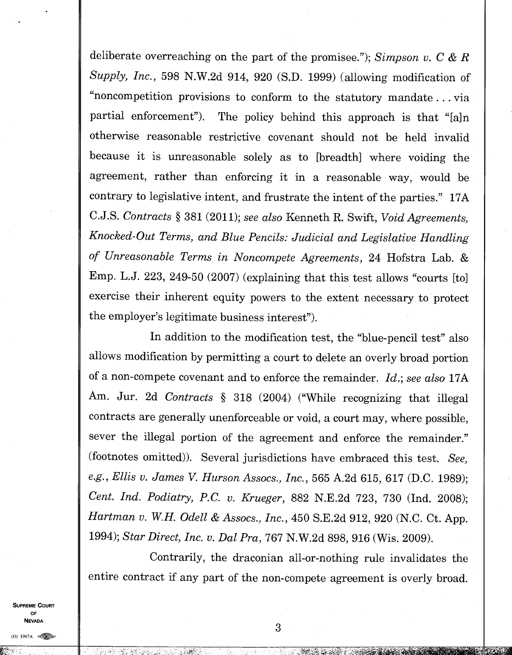deliberate overreaching on the part of the promisee."); *Simpson v. C & R Supply, Inc.,* 598 N.W.2d 914, 920 (S.D. 1999) (allowing modification of "noncompetition provisions to conform to the statutory mandate. . . via partial enforcement"). The policy behind this approach is that "[a]n otherwise reasonable restrictive covenant should not be held invalid because it is unreasonable solely as to [breadth] where voiding the agreement, rather than enforcing it in a reasonable way, would be contrary to legislative intent, and frustrate the intent of the parties." 17A C.J.S. *Contracts §* 381 (2011); *see also* Kenneth R. Swift, *Void Agreements, Knocked-Out Terms, and Blue Pencils: Judicial and Legislative Handling of Unreasonable Terms in Noncompete Agreements,* 24 Hofstra Lab. & Emp. L.J. 223, 249-50 (2007) (explaining that this test allows "courts [to] exercise their inherent equity powers to the extent necessary to protect the employer's legitimate business interest").

In addition to the modification test, the "blue-pencil test" also allows modification by permitting a court to delete an overly broad portion of a non-compete covenant and to enforce the remainder. *Id.; see also* 17A Am. Jur. 2d *Contracts* § 318 (2004) ("While recognizing that illegal contracts are generally unenforceable or void, a court may, where possible, sever the illegal portion of the agreement and enforce the remainder." (footnotes omitted)). Several jurisdictions have embraced this test. *See, e.g., Ellis v. James V. Hurson Assocs., Inc.,* 565 A.2d 615, 617 (D.C. 1989); *Cent. Ind. Podiatry, P.C. v. Krueger,* 882 N.E.2d 723, 730 (Ind. 2008); *Hartman v. W.H. Odell & Assocs., Inc.,* 450 S.E.2d 912, 920 (N.C. Ct. App. 1994); *Star Direct, Inc. v. Dal Pra,* 767 N.W.2d 898, 916 (Wis. 2009).

Contrarily, the draconian all-or-nothing rule invalidates the entire contract if any part of the non-compete agreement is overly broad.

**SUPREME COURT** OF NEVADA

 $(0)$  1947A  $\otimes$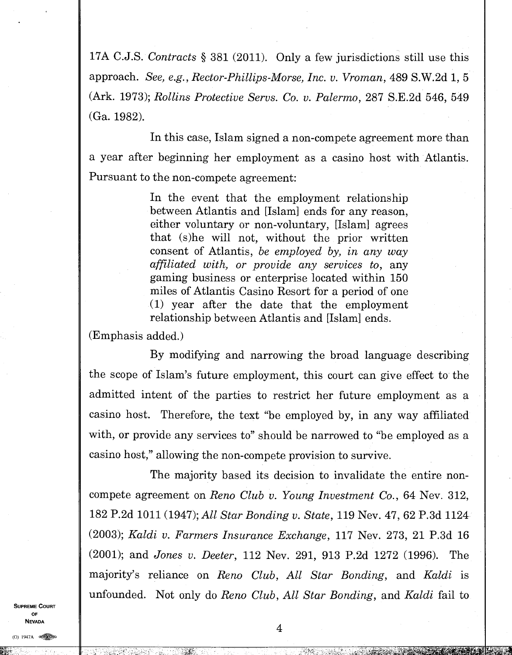17A C.J.S. *Contracts §* 381 (2011). Only a few jurisdictions still use this approach. *See, e.g., Rector-Phillips-Morse, Inc. v. Vroman,* 489 S.W.2d 1, 5 (Ark. 1973); *Rollins Protective Servs. Co. v. Palermo,* 287 S.E.2d 546, 549 (Ga. 1982).

In this case, Islam signed a non-compete agreement more than a year after beginning her employment as a casino host with Atlantis. Pursuant to the non-compete agreement:

> In the event that the employment relationship between Atlantis and [Islam] ends for any reason, either voluntary or non-voluntary, [Islam] agrees that (s)he will not, without the prior written consent of Atlantis, *be employed by, in any way affiliated with, or provide any services to,* any gaming business or enterprise located within 150 miles of Atlantis Casino Resort for a period of one (1) year after the date that the employment relationship between Atlantis and [Islam] ends.

(Emphasis added.)

By modifying and narrowing the broad language describing the scope of Islam's future employment, this court can give effect to the admitted intent of the parties to restrict her future employment as a casino host. Therefore, the text "be employed by, in any way affiliated with, or provide any services to" should be narrowed to "be employed as a casino host," allowing the non-compete provision to survive.

The majority based its decision to invalidate the entire noncompete agreement on *Reno Club v. Young Investment Co.,* 64 Nev. 312, 182 P.2d 1011 (1947); *All Star Bonding v. State,* 119 Nev. 47, 62 P.3d 1124 (2003); *Kaldi v. Farmers Insurance Exchange,* 117 Nev. 273, 21 P.3d 16 (2001); and *Jones v. Deeter,* 112 Nev. 291, 913 P.2d 1272 (1996). The majority's reliance on *Reno Club, All Star Bonding,* and *Kaldi* is unfounded. Not only do *Reno Club, All Star Bonding,* and *Kaldi* fail to

**SUPREME COURT OF NEVADA**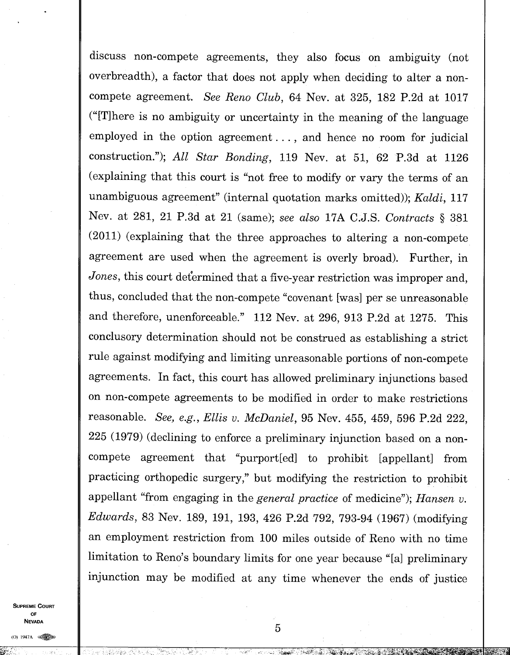discuss non-compete agreements, they also focus on ambiguity (not overbreadth), a factor that does not apply when deciding to alter a noncompete agreement. *See Reno Club,* 64 Nev. at 325, 182 P.2d at 1017 ("[T]here is no ambiguity or uncertainty in the meaning of the language employed in the option agreement. . . , and hence no room for judicial construction."), *All Star Bonding,* 119 Nev. at 51, 62 P.3d at 1126 (explaining that this court is "not free to modify or vary the terms of an unambiguous agreement" (internal quotation marks omitted)); *Kaldi,* <sup>117</sup> Nev. at 281, 21 P.3d at 21 (same); *see also* 17A C.J.S. *Contracts §* 381 (2011) (explaining that the three approaches to altering a non-compete agreement are used when the agreement is overly broad). Further, in *Jones*, this court determined that a five-year restriction was improper and, thus, concluded that the non-compete "covenant [was] per se unreasonable and therefore, unenforceable." 112 Nev. at 296, 913 P.2d at 1275. This conclusory determination should not be construed as establishing a strict rule against modifying and limiting unreasonable portions of non-compete agreements. In fact, this court has allowed preliminary injunctions based on non-compete agreements to be modified in order to make restrictions reasonable. *See, e.g., Ellis v. McDaniel,* 95 Nev. 455, 459, 596 P.2d 222, 225 (1979) (declining to enforce a preliminary injunction based on a noncompete agreement that "purport[ed] to prohibit [appellant] from practicing orthopedic surgery," but modifying the restriction to prohibit appellant "from engaging in the *general practice* of medicine"); *Hansen v. Edwards,* 83 Nev. 189, 191, 193, 426 P.2d 792, 793-94 (1967) (modifying an employment restriction from 100 miles outside of Reno with no time limitation to Reno's boundary limits for one year because "[a] preliminary injunction may be modified at any time whenever the ends of justice

**SUPREME COURT OF NEVADA** 

(0) 1947A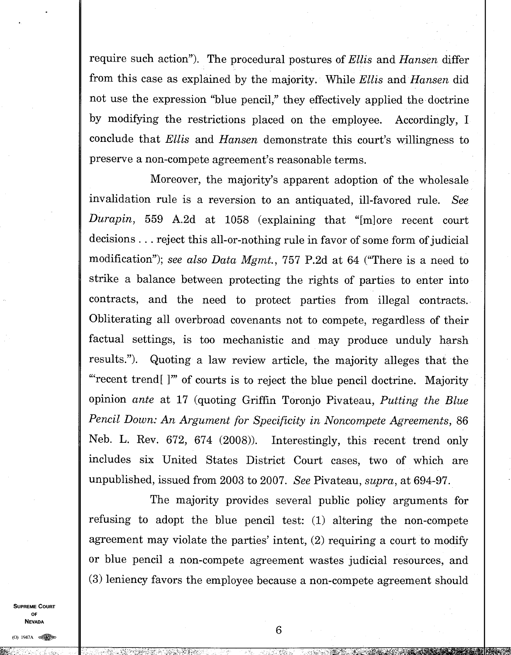require such action"). The procedural postures of *Ellis* and *Hansen* differ from this case as explained by the majority. While *Ellis* and *Hansen* did not use the expression "blue pencil," they effectively applied the doctrine by modifying the restrictions placed on the employee. Accordingly, I conclude that *Ellis* and *Hansen* demonstrate this court's willingness to preserve a non-compete agreement's reasonable terms.

Moreover, the majority's apparent adoption of the wholesale invalidation rule is a reversion to an antiquated, ill-favored rule. *See Durapin,* 559 A.2d at 1058 (explaining that "[m]ore recent court decisions . . . reject this all-or-nothing rule in favor of some form of judicial modification"); *see also Data Mgmt.,* 757 P.2d at 64 ("There is a need to strike a balance between protecting the rights of parties to enter into contracts, and the need to protect parties from illegal contracts. Obliterating all overbroad covenants not to compete, regardless of their factual settings, is too mechanistic and may produce unduly harsh results."). Quoting a law review article, the majority alleges that the "recent trend[ ]'" of courts is to reject the blue pencil doctrine. Majority opinion *ante* at 17 (quoting Griffin Toronjo Pivateau, *Putting the Blue Pencil Down: An Argument for Specificity in Noncompete Agreements,* 86 Neb. L. Rev. 672, 674 (2008)). Interestingly, this recent trend only includes six United States District Court cases, two of which are unpublished, issued from 2003 to 2007. *See* Pivateau, *supra,* at 694-97.

The majority provides several public policy arguments for refusing to adopt the blue pencil test: (1) altering the non-compete agreement may violate the parties' intent, (2) requiring a court to modify or blue pencil a non-compete agreement wastes judicial resources, and (3) leniency favors the employee because a non-compete agreement should

**SUPREME COURT OF NEVADA** 

(0) 1947A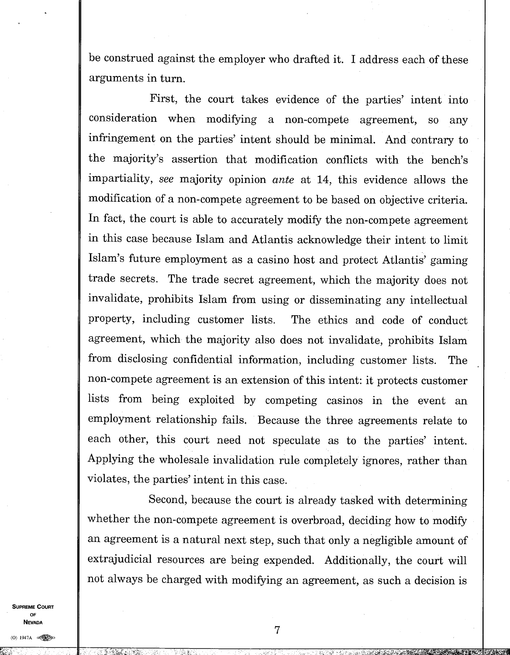be construed against the employer who drafted it. I address each of these arguments in turn.

First, the court takes evidence of the parties' intent into consideration when modifying a non-compete agreement, so any infringement on the parties' intent should be minimal. And contrary to the majority's assertion that modification conflicts with the bench's impartiality, *see* majority opinion *ante* at 14, this evidence allows the modification of a non-compete agreement to be based on objective criteria. In fact, the court is able to accurately modify the non-compete agreement in this case because Islam and Atlantis acknowledge their intent to limit Islam's future employment as a casino host and protect Atlantis' gaming trade secrets. The trade secret agreement, which the majority does not invalidate, prohibits Islam from using or disseminating any intellectual property, including customer lists. The ethics and code of conduct agreement, which the majority also does not invalidate, prohibits Islam from disclosing confidential information, including customer lists. The non-compete agreement is an extension of this intent: it protects customer lists from being exploited by competing casinos in the event an employment relationship fails. Because the three agreements relate to each other, this court need not speculate as to the parties' intent. Applying the wholesale invalidation rule completely ignores, rather than violates, the parties' intent in this case.

Second, because the court is already tasked with determining whether the non-compete agreement is overbroad, deciding how to modify an agreement is a natural next step, such that only a negligible amount of extrajudicial resources are being expended. Additionally, the court will not always be charged with modifying an agreement, as such a decision is

**SUPREME COURT OF NEVADA**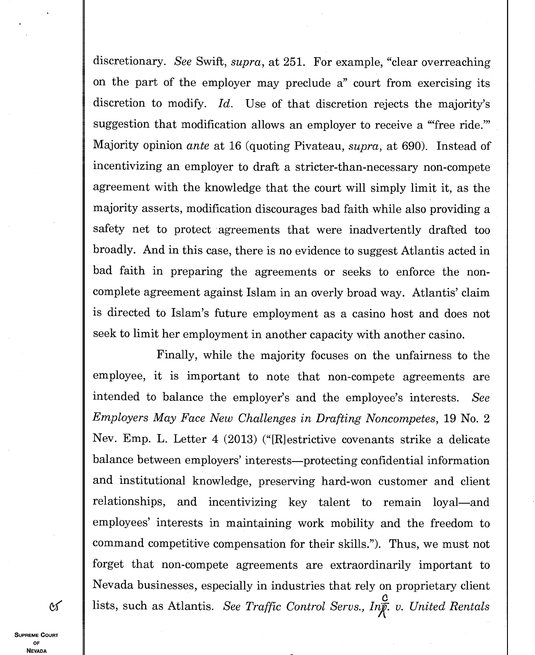discretionary. *See* Swift, *supra,* at 251. For example, "clear overreaching on the part of the employer may preclude a" court from exercising its discretion to modify. *Id.* Use of that discretion rejects the majority's suggestion that modification allows an employer to receive a "free ride." Majority opinion *ante* at 16 (quoting Pivateau, *supra,* at 690). Instead of incentivizing an employer to draft a stricter-than-necessary non-compete agreement with the knowledge that the court will simply limit it, as the majority asserts, modification discourages bad faith while also providing a safety net to protect agreements that were inadvertently drafted too broadly. And in this case, there is no evidence to suggest Atlantis acted in bad faith in preparing the agreements or seeks to enforce the noncomplete agreement against Islam in an overly broad way. Atlantis' claim is directed to Islam's future employment as a casino host and does not seek to limit her employment in another capacity with another casino.

Finally, while the majority focuses on the unfairness to the employee, it is important to note that non-compete agreements are intended to balance the employer's and the employee's interests. *See Employers May Face New Challenges in Drafting Noncompetes,* 19 No. 2 Nev. Emp. L. Letter 4 (2013) ("[R]estrictive covenants strike a delicate balance between employers' interests—protecting confidential information and institutional knowledge, preserving hard-won customer and client relationships, and incentivizing key talent to remain loyal—and employees' interests in maintaining work mobility and the freedom to command competitive compensation for their skills."). Thus, we must not forget that non-compete agreements are extraordinarily important to Nevada businesses, especially in industries that rely on proprietary client lists, such as Atlantis. *See Traffic Control Servs., Inf. v. United Rentals* 

**SUPREME COURT OF NEVADA** 

 $\infty$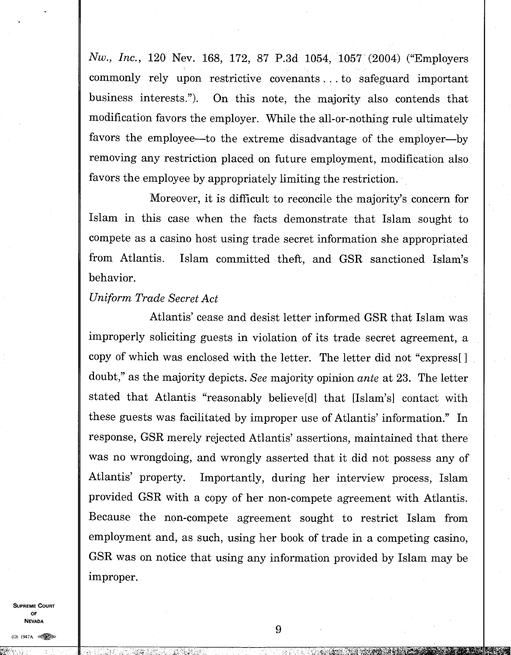*Nw., Inc.,* 120 Nev. 168, 172, 87 P.3d 1054, 1057 (2004) ("Employers commonly rely upon restrictive covenants. . . to safeguard important business interests."). On this note, the majority also contends that modification favors the employer. While the all-or-nothing rule ultimately favors the employee—to the extreme disadvantage of the employer—by removing any restriction placed on future employment, modification also favors the employee by appropriately limiting the restriction.

Moreover, it is difficult to reconcile the majority's concern for Islam in this case when the facts demonstrate that Islam sought to compete as a casino host using trade secret information she appropriated from Atlantis. Islam committed theft, and GSR sanctioned Islam's behavior.

### *Uniform Trade Secret Act*

Atlantis' cease and desist letter informed GSR that Islam was improperly soliciting guests in violation of its trade secret agreement, a copy of which was enclosed with the letter. The letter did not "express[] doubt," as the majority depicts. *See* majority opinion *ante* at 23. The letter stated that Atlantis "reasonably believe[d] that [Islam's] contact with these guests was facilitated by improper use of Atlantis' information." In response, GSR merely rejected Atlantis' assertions, maintained that there was no wrongdoing, and wrongly asserted that it did not possess any of Atlantis' property. Importantly, during her interview process, Islam provided GSR with a copy of her non-compete agreement with Atlantis. Because the non-compete agreement sought to restrict Islam from employment and, as such, using her book of trade in a competing casino, GSR was on notice that using any information provided by Islam may be improper.

**SUPREME COURT OF NEVADA**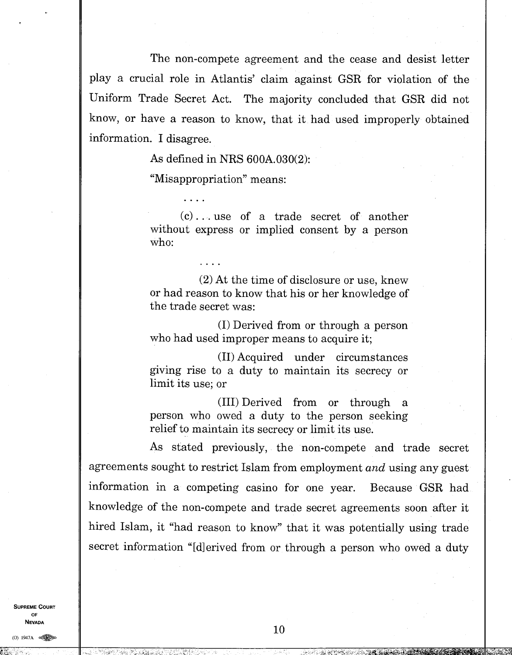The non-compete agreement and the cease and desist letter play a crucial role in Atlantis' claim against GSR for violation of the Uniform Trade Secret Act. The majority concluded that GSR did not know, or have a reason to know, that it had used improperly obtained information. I disagree.

As defined in NRS 600A.030(2):

"Misappropriation" means:

(c) . . . use of a trade secret of another without express or implied consent by a person who:

(2) At the time of disclosure or use, knew or had reason to know that his or her knowledge of the trade secret was:

(I) Derived from or through a person who had used improper means to acquire it;

(II) Acquired under circumstances giving rise to a duty to maintain its secrecy or limit its use; or

(III) Derived from or through a person who owed a duty to the person seeking relief to maintain its secrecy or limit its use.

As stated previously, the non-compete and trade secret agreements sought to restrict Islam from employment *and* using any guest information in a competing casino for one year. Because GSR had knowledge of the non-compete and trade secret agreements soon after it hired Islam, it "had reason to know" that it was potentially using trade secret information "[d] erived from or through a person who owed a duty

**SUPREME COURT OF NEVADA** 

 $(0)$  1947A  $\otimes$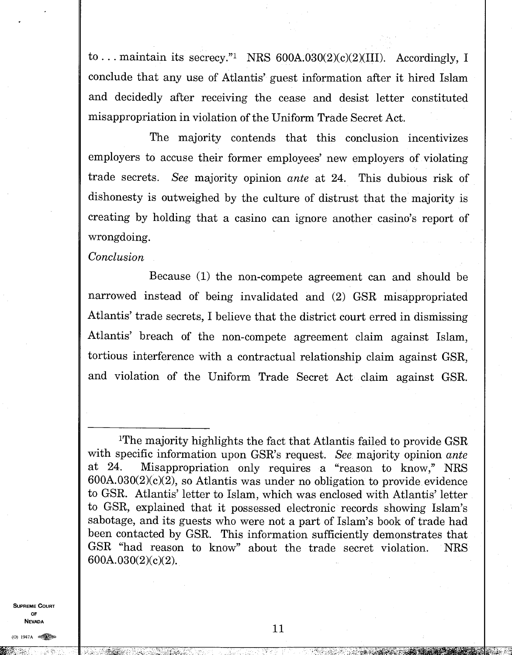to... maintain its secrecy."<sup>1</sup> NRS  $600A.030(2)(c)(2)(III)$ . Accordingly, I conclude that any use of Atlantis' guest information after it hired Islam and decidedly after receiving the cease and desist letter constituted misappropriation in violation of the Uniform Trade Secret Act.

The majority contends that this conclusion incentivizes employers to accuse their former employees' new employers of violating trade secrets. *See* majority opinion *ante* at 24. This dubious risk of dishonesty is outweighed by the culture of distrust that the majority is creating by holding that a casino can ignore another casino's report of wrongdoing.

*Conclusion* 

Because (1) the non-compete agreement can and should be narrowed instead of being invalidated and (2) GSR misappropriated Atlantis' trade secrets, I believe that the district court erred in dismissing Atlantis' breach of the non-compete agreement claim against Islam, tortious interference with a contractual relationship claim against GSR, and violation of the Uniform Trade Secret Act claim against GSR.

**SUPREME COURT OF NEVADA** 

(0) 1947A

11

:7:3-`,14,;•41

<sup>&</sup>lt;sup>1</sup>The majority highlights the fact that Atlantis failed to provide GSR with specific information upon GSR's request. *See* majority opinion *ante*  at 24. Misappropriation only requires a "reason to know," NRS  $600A.030(2)(c)(2)$ , so Atlantis was under no obligation to provide evidence to GSR. Atlantis' letter to Islam, which was enclosed with Atlantis' letter to GSR, explained that it possessed electronic records showing Islam's sabotage, and its guests who were not a part of Islam's book of trade had been contacted by GSR. This information sufficiently demonstrates that GSR "had reason to know" about the trade secret violation. NRS 600A.030(2)(c)(2).